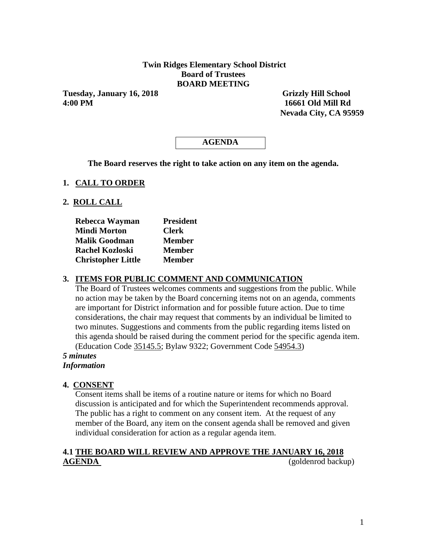### **Twin Ridges Elementary School District Board of Trustees BOARD MEETING**

**Tuesday, January 16, 2018** Grizzly Hill School **4:00 PM 16661 Old Mill Rd**

 **Nevada City, CA 95959** 

# **AGENDA**

**The Board reserves the right to take action on any item on the agenda.**

#### **1. CALL TO ORDER**

#### **2. ROLL CALL**

| Rebecca Wayman            | <b>President</b> |
|---------------------------|------------------|
| <b>Mindi Morton</b>       | <b>Clerk</b>     |
| <b>Malik Goodman</b>      | <b>Member</b>    |
| <b>Rachel Kozloski</b>    | <b>Member</b>    |
| <b>Christopher Little</b> | <b>Member</b>    |

#### **3. ITEMS FOR PUBLIC COMMENT AND COMMUNICATION**

The Board of Trustees welcomes comments and suggestions from the public. While no action may be taken by the Board concerning items not on an agenda, comments are important for District information and for possible future action. Due to time considerations, the chair may request that comments by an individual be limited to two minutes. Suggestions and comments from the public regarding items listed on this agenda should be raised during the comment period for the specific agenda item. (Education Code 35145.5; Bylaw 9322; Government Code 54954.3)

#### *5 minutes Information*

#### **4. CONSENT**

Consent items shall be items of a routine nature or items for which no Board discussion is anticipated and for which the Superintendent recommends approval. The public has a right to comment on any consent item. At the request of any member of the Board, any item on the consent agenda shall be removed and given individual consideration for action as a regular agenda item.

# **4.1 THE BOARD WILL REVIEW AND APPROVE THE JANUARY 16, 2018 AGENDA** (goldenrod backup)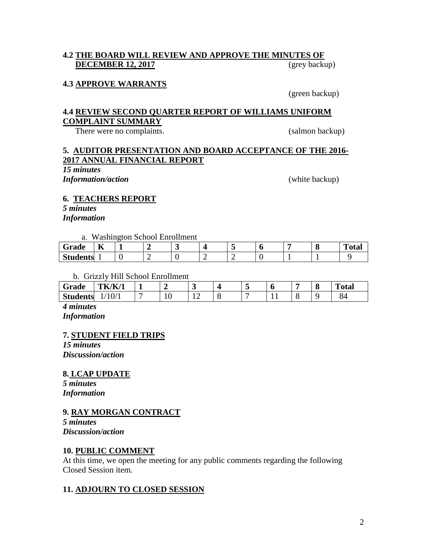## **4.2 THE BOARD WILL REVIEW AND APPROVE THE MINUTES OF DECEMBER 12, 2017** (grey backup)

#### **4.3 APPROVE WARRANTS**

(green backup)

#### **4.4 REVIEW SECOND QUARTER REPORT OF WILLIAMS UNIFORM COMPLAINT SUMMARY**

There were no complaints. (salmon backup)

## **5. AUDITOR PRESENTATION AND BOARD ACCEPTANCE OF THE 2016- 2017 ANNUAL FINANCIAL REPORT**

*15 minutes*

*Information/action* (white backup)

#### **6. TEACHERS REPORT**

*5 minutes Information*

a. Washington School Enrollment

| _______                                     | _______   | .<br>____ | ___ |  |   |  |                            |
|---------------------------------------------|-----------|-----------|-----|--|---|--|----------------------------|
| Grade                                       | $-$<br>TZ |           |     |  |   |  | <b>CONTRACTOR</b><br>`otal |
| $^{\circ}$ tudents $\overline{\phantom{a}}$ |           |           |     |  | - |  |                            |

#### b. Grizzly Hill School Enrollment

| Grade           | $J{\rm K}{\prime}$<br>,,,,,<br>n |   |     |  |  | $\bullet$ | m<br>otal   |
|-----------------|----------------------------------|---|-----|--|--|-----------|-------------|
| <b>Students</b> | V/                               | ◡ | . . |  |  |           | ⌒<br>∼<br>ັ |

*4 minutes Information*

#### **7. STUDENT FIELD TRIPS**

*15 minutes Discussion/action*

**8. LCAP UPDATE**

*5 minutes Information*

#### **9. RAY MORGAN CONTRACT**

*5 minutes Discussion/action*

#### **10. PUBLIC COMMENT**

At this time, we open the meeting for any public comments regarding the following Closed Session item.

# **11. ADJOURN TO CLOSED SESSION**